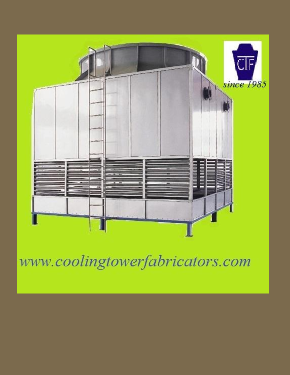

www.coolingtowerfabricators.com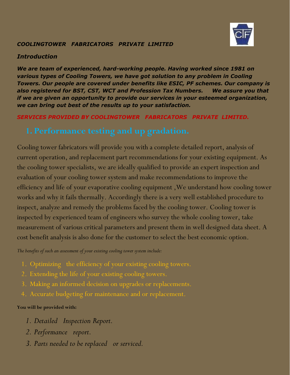

## *COOLINGTOWER FABRICATORS PRIVATE LIMITED*

### *Introduction*

*We are team of experienced, hard-working people. Having worked since 1981 on*  various types of Cooling Towers, we have got solution to any problem in Cooling *Towers. Our people are covered under benefits like ESIC, PF schemes. Our company is also registered for BST, CST, WCT and Profession Tax Numbers. We assure you that if we are given an opportunity to provide our services in your esteemed organization, we can bring out best of the results up to your satisfaction.*

## *SERVICES PROVIDED BY COOLINGTOWER FABRICATORS PRIVATE LIMITED.*

Cooling tower fabricators will provide you with a complete detailed report, analysis of current operation, and replacement part recommendations for your existing equipment. As the cooling tower specialists, we are ideally qualified to provide an expert inspection and evaluation of your cooling tower system and make recommendations to improve the efficiency and life of your evaporative cooling equipment ,We understand how cooling tower works and why it fails thermally. Accordingly there is a very well established procedure to inspect, analyze and remedy the problems faced by the cooling tower. Cooling tower is inspected by experienced team of engineers who survey the whole cooling tower, take measurement of various critical parameters and present them in well designed data sheet. A cost benefit analysis is also done for the customer to select the best economic option.

*The benefits of such an assessment of your existing cooling tower system include:*

- 1. Optimizing the efficiency of your existing cooling towers.
- 2. Extending the life of your existing cooling towers.
- 3. Making an informed decision on upgrades or replacements.
- 4. Accurate budgeting for maintenance and or replacement.

### **You will be provided with:**

- *1. Detailed Inspection Report.*
- *2. Performance report.*
- *3. Parts needed to be replaced or serviced.*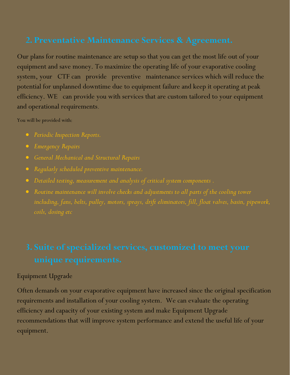Our plans for routine maintenance are setup so that you can get the most life out of your equipment and save money. To maximize the operating life of your evaporative cooling system, your CTF can provide preventive maintenance services which will reduce the potential for unplanned downtime due to equipment failure and keep it operating at peak efficiency. WE can provide you with services that are custom tailored to your equipment and operational requirements.

You will be provided with:

- *Periodic Inspection Reports.*
- *Emergency Repairs*
- *General Mechanical and Structural Repairs*
- *Regularly scheduled preventive maintenance.*
- *Detailed testing, measurement and analysis of critical system components .*
- *Routine maintenance will involve checks and adjustments to all parts of the cooling tower including, fans, belts, pulley, motors, sprays, drift eliminators, fill, float valves, basin, pipework, coils, dosing etc*

## Equipment Upgrade

Often demands on your evaporative equipment have increased since the original specification requirements and installation of your cooling system. We can evaluate the operating efficiency and capacity of your existing system and make Equipment Upgrade recommendations that will improve system performance and extend the useful life of your equipment.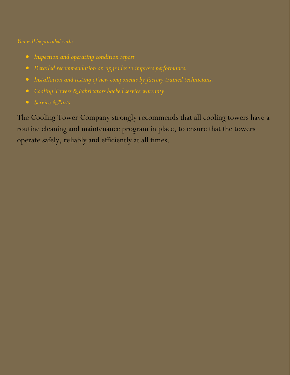- *Inspection and operating condition report*
- *Detailed recommendation on upgrades to improve performance.*
- *Installation and testing of new components by factory trained technicians.*
- *Cooling Towers & Fabricators backed service warranty.*
- 

The Cooling Tower Company strongly recommends that all cooling towers have a routine cleaning and maintenance program in place, to ensure that the towers operate safely, reliably and efficiently at all times.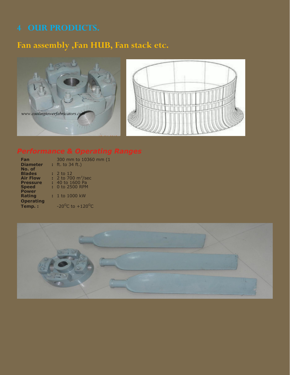## **Fan assembly ,Fan HUB, Fan stack etc.**





**Fan Diameter :** 300 mm to 10360 mm (1 ft. to 34 ft.) **No. of Blades :** 2 to 12 **Air Flow :** 2 to 700 m<sup>3</sup>/sec **Pressure :** 40 to 1600 Pa **Speed :** 0 to 2500 RPM **Air Flow<br>Pressure<br>Speed<br>Power<br>Rating Rating :** 1 to 1000 kW **Operating Temp. :**  $-20^{\circ}$ C to  $+120^{\circ}$ C

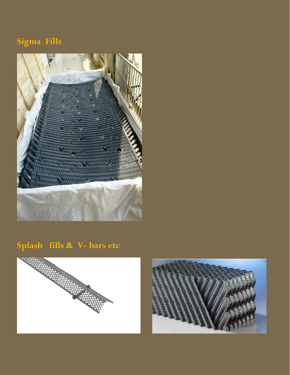# **Sigma Fills**



# **Splash fills & V- bars etc**



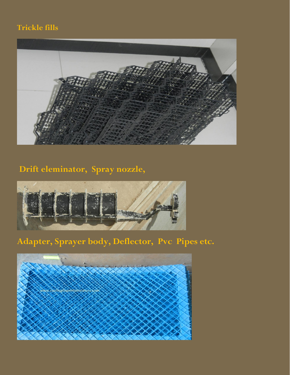## **Trickle fills**



# **Drift eleminator, Spray nozzle,**



# **Adapter, Sprayer body, Deflector, Pvc Pipes etc.**